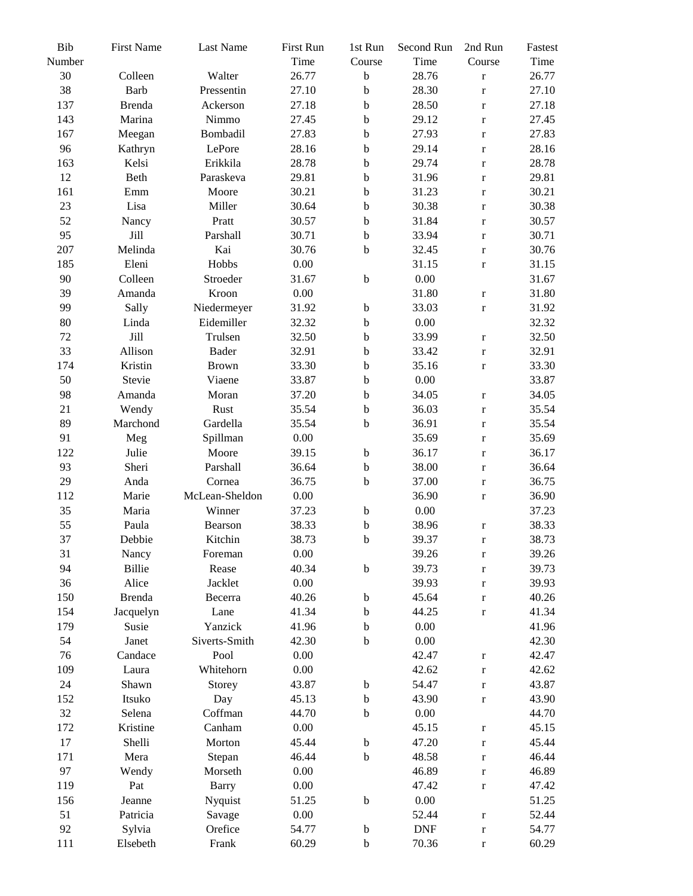| Bib<br>Number | <b>First Name</b> | Last Name      | First Run<br>Time | 1st Run<br>Course | Second Run<br>Time | 2nd Run<br>Course | Fastest<br>Time |
|---------------|-------------------|----------------|-------------------|-------------------|--------------------|-------------------|-----------------|
| 30            | Colleen           | Walter         | 26.77             | $\bf b$           | 28.76              | $\mathbf r$       | 26.77           |
| 38            | Barb              | Pressentin     | 27.10             | $\mathbf b$       | 28.30              | $\mathbf r$       | 27.10           |
| 137           | <b>Brenda</b>     | Ackerson       | 27.18             | $\mathbf b$       | 28.50              |                   | 27.18           |
| 143           | Marina            | Nimmo          | 27.45             | $\mathbf b$       | 29.12              | $\mathbf r$       | 27.45           |
| 167           |                   | Bombadil       | 27.83             | $\mathbf b$       | 27.93              | $\mathbf r$       | 27.83           |
|               | Meegan            | LePore         |                   |                   |                    | $\mathbf r$       | 28.16           |
| 96            | Kathryn           | Erikkila       | 28.16             | $\mathbf b$       | 29.14<br>29.74     | $\mathbf r$       | 28.78           |
| 163<br>12     | Kelsi<br>Beth     | Paraskeva      | 28.78             | $\mathbf b$       | 31.96              | $\mathbf r$       | 29.81           |
|               |                   |                | 29.81             | $\mathbf b$       |                    | $\mathbf r$       |                 |
| 161<br>23     | Emm<br>Lisa       | Moore          | 30.21             | $\mathbf b$       | 31.23              | $\mathbf r$       | 30.21           |
|               |                   | Miller         | 30.64             | $\mathbf b$       | 30.38              | $\mathbf r$       | 30.38           |
| 52            | Nancy             | Pratt          | 30.57             | $\mathbf b$       | 31.84              | $\mathbf r$       | 30.57           |
| 95            | Jill              | Parshall       | 30.71             | $\mathbf b$       | 33.94              | $\mathbf r$       | 30.71           |
| 207           | Melinda           | Kai            | 30.76             | $\mathbf b$       | 32.45              | $\mathbf r$       | 30.76           |
| 185           | Eleni             | Hobbs          | 0.00              |                   | 31.15              | $\mathbf r$       | 31.15           |
| 90            | Colleen           | Stroeder       | 31.67             | $\mathbf b$       | $0.00\,$           |                   | 31.67           |
| 39            | Amanda            | Kroon          | 0.00              |                   | 31.80              | $\mathbf r$       | 31.80           |
| 99            | Sally             | Niedermeyer    | 31.92             | $\mathbf b$       | 33.03              | $\mathbf r$       | 31.92           |
| 80            | Linda             | Eidemiller     | 32.32             | $\mathbf b$       | $0.00\,$           |                   | 32.32           |
| 72            | Jill              | Trulsen        | 32.50             | $\mathbf b$       | 33.99              | $\mathbf r$       | 32.50           |
| 33            | Allison           | <b>Bader</b>   | 32.91             | $\mathbf b$       | 33.42              | $\mathbf r$       | 32.91           |
| 174           | Kristin           | <b>Brown</b>   | 33.30             | $\mathbf b$       | 35.16              | $\mathbf r$       | 33.30           |
| 50            | Stevie            | Viaene         | 33.87             | $\mathbf b$       | $0.00\,$           |                   | 33.87           |
| 98            | Amanda            | Moran          | 37.20             | $\mathbf b$       | 34.05              | $\mathbf r$       | 34.05           |
| 21            | Wendy             | Rust           | 35.54             | $\mathbf b$       | 36.03              | $\mathbf r$       | 35.54           |
| 89            | Marchond          | Gardella       | 35.54             | $\mathbf b$       | 36.91              | $\mathbf r$       | 35.54           |
| 91            | Meg               | Spillman       | 0.00              |                   | 35.69              | $\mathbf r$       | 35.69           |
| 122           | Julie             | Moore          | 39.15             | $\mathbf b$       | 36.17              | $\mathbf r$       | 36.17           |
| 93            | Sheri             | Parshall       | 36.64             | $\mathbf b$       | 38.00              | $\mathbf r$       | 36.64           |
| 29            | Anda              | Cornea         | 36.75             | $\mathbf b$       | 37.00              | $\mathbf r$       | 36.75           |
| 112           | Marie             | McLean-Sheldon | 0.00              |                   | 36.90              | $\mathbf r$       | 36.90           |
| 35            | Maria             | Winner         | 37.23             | $\mathbf b$       | $0.00\,$           |                   | 37.23           |
| 55            | Paula             | Bearson        | 38.33             | $\bf b$           | 38.96              | $\mathbf r$       | 38.33           |
| 37            | Debbie            | Kitchin        | 38.73             | $\mathbf b$       | 39.37              | $\mathbf r$       | 38.73           |
| 31            | Nancy             | Foreman        | 0.00              |                   | 39.26              | $\mathbf r$       | 39.26           |
| 94            | Billie            | Rease          | 40.34             | $\mathbf b$       | 39.73              | $\mathbf r$       | 39.73           |
| 36            | Alice             | Jacklet        | 0.00              |                   | 39.93              | $\mathbf r$       | 39.93           |
| 150           | <b>Brenda</b>     | Becerra        | 40.26             | $\mathbf b$       | 45.64              | $\mathbf r$       | 40.26           |
| 154           | Jacquelyn         | Lane           | 41.34             | $\mathbf b$       | 44.25              | $\mathbf r$       | 41.34           |
| 179           | Susie             | Yanzick        | 41.96             | b                 | 0.00               |                   | 41.96           |
| 54            | Janet             | Siverts-Smith  | 42.30             | $\mathbf b$       | 0.00               |                   | 42.30           |
| 76            | Candace           | Pool           | 0.00              |                   | 42.47              | $\mathbf r$       | 42.47           |
| 109           | Laura             | Whitehorn      | 0.00              |                   | 42.62              | $\mathbf r$       | 42.62           |
| 24            | Shawn             | Storey         | 43.87             | $\mathbf b$       | 54.47              | $\mathbf r$       | 43.87           |
| 152           | Itsuko            | Day            | 45.13             | $\mathbf b$       | 43.90              | $\mathbf r$       | 43.90           |
| 32            | Selena            | Coffman        | 44.70             | $\mathbf b$       | $0.00\,$           |                   | 44.70           |
| 172           | Kristine          | Canham         | $0.00\,$          |                   | 45.15              | $\mathbf r$       | 45.15           |
| 17            | Shelli            | Morton         | 45.44             | $\bf b$           | 47.20              | $\mathbf r$       | 45.44           |
| 171           | Mera              | Stepan         | 46.44             | $\mathbf b$       | 48.58              | $\mathbf r$       | 46.44           |
| 97            | Wendy             | Morseth        | 0.00              |                   | 46.89              | $\mathbf r$       | 46.89           |
| 119           | Pat               | <b>Barry</b>   | 0.00              |                   | 47.42              | $\mathbf r$       | 47.42           |
| 156           | Jeanne            | Nyquist        | 51.25             | $\mathbf b$       | 0.00               |                   | 51.25           |
| 51            | Patricia          | Savage         | $0.00\,$          |                   | 52.44              | $\mathbf r$       | 52.44           |
| 92            | Sylvia            | Orefice        | 54.77             | $\mathbf b$       | <b>DNF</b>         | $\mathbf r$       | 54.77           |
| 111           | Elsebeth          | Frank          | 60.29             | $\mathbf b$       | 70.36              | $\mathbf r$       | 60.29           |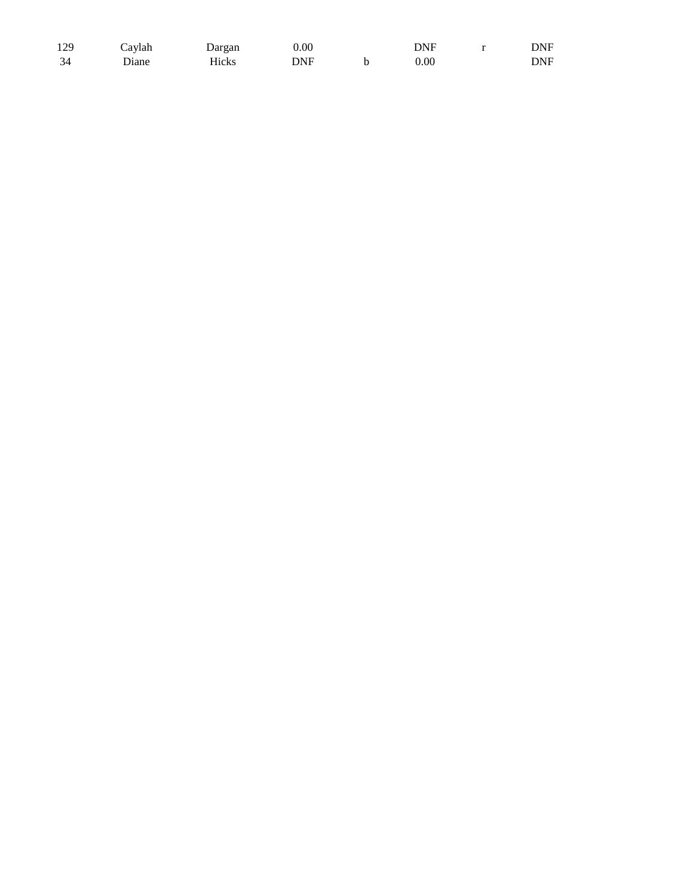| 129 | Cavlah | Dargan | $0.00\,$ | DNF      | DNF |
|-----|--------|--------|----------|----------|-----|
| 34  | Diane  | Hicks  | DNF      | $0.00\,$ | DNF |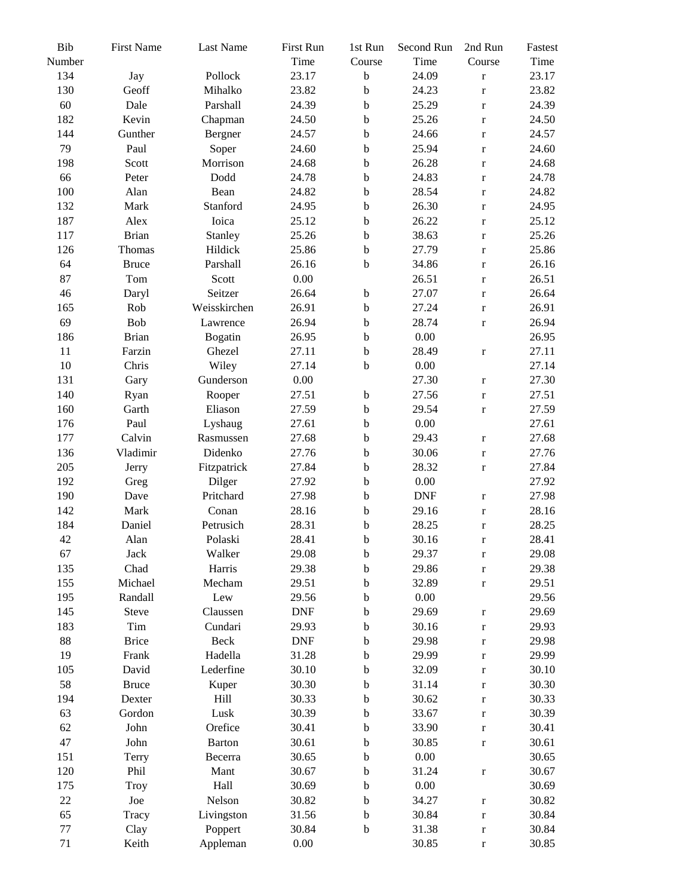| Bib<br>Number | <b>First Name</b> | <b>Last Name</b> | First Run<br>Time | 1st Run<br>Course          | Second Run<br>Time | 2nd Run<br>Course          | Fastest<br>Time |
|---------------|-------------------|------------------|-------------------|----------------------------|--------------------|----------------------------|-----------------|
| 134           | Jay               | Pollock          | 23.17             | $\mathbf b$                | 24.09              | $\mathbf r$                | 23.17           |
| 130           | Geoff             | Mihalko          | 23.82             | $\mathbf b$                | 24.23              | $\mathbf r$                | 23.82           |
| 60            | Dale              | Parshall         | 24.39             | $\mathbf b$                | 25.29              |                            | 24.39           |
| 182           | Kevin             | Chapman          | 24.50             | $\mathbf b$                | 25.26              | $\mathbf r$<br>$\mathbf r$ | 24.50           |
| 144           | Gunther           | Bergner          | 24.57             | $\mathbf b$                | 24.66              | $\mathbf r$                | 24.57           |
| 79            | Paul              | Soper            | 24.60             | $\mathbf b$                | 25.94              |                            | 24.60           |
| 198           | Scott             | Morrison         | 24.68             |                            | 26.28              | $\mathbf r$                | 24.68           |
| 66            |                   | Dodd             | 24.78             | $\mathbf b$<br>$\mathbf b$ | 24.83              | $\mathbf r$                | 24.78           |
| 100           | Peter<br>Alan     | Bean             | 24.82             | $\mathbf b$                | 28.54              | $\mathbf r$                | 24.82           |
|               | Mark              | Stanford         |                   | $\mathbf b$                |                    | $\mathbf r$                |                 |
| 132           |                   |                  | 24.95             |                            | 26.30              | $\mathbf r$                | 24.95           |
| 187           | Alex              | Ioica            | 25.12             | $\mathbf b$                | 26.22              | $\mathbf r$                | 25.12           |
| 117           | <b>Brian</b>      | Stanley          | 25.26             | $\mathbf b$                | 38.63              | $\mathbf r$                | 25.26           |
| 126           | Thomas            | Hildick          | 25.86             | $\mathbf b$                | 27.79              | $\mathbf r$                | 25.86           |
| 64            | <b>Bruce</b>      | Parshall         | 26.16             | $\mathbf b$                | 34.86              | $\mathbf r$                | 26.16           |
| 87            | Tom               | Scott            | 0.00              |                            | 26.51              | $\mathbf r$                | 26.51           |
| 46            | Daryl             | Seitzer          | 26.64             | $\mathbf b$                | 27.07              | $\mathbf r$                | 26.64           |
| 165           | Rob               | Weisskirchen     | 26.91             | $\mathbf b$                | 27.24              | $\mathbf r$                | 26.91           |
| 69            | Bob               | Lawrence         | 26.94             | $\mathbf b$                | 28.74              | $\mathbf r$                | 26.94           |
| 186           | <b>Brian</b>      | <b>Bogatin</b>   | 26.95             | $\mathbf b$                | $0.00\,$           |                            | 26.95           |
| 11            | Farzin            | Ghezel           | 27.11             | $\mathbf b$                | 28.49              | $\mathbf r$                | 27.11           |
| 10            | Chris             | Wiley            | 27.14             | $\mathbf b$                | 0.00               |                            | 27.14           |
| 131           | Gary              | Gunderson        | 0.00              |                            | 27.30              | $\mathbf r$                | 27.30           |
| 140           | Ryan              | Rooper           | 27.51             | $\mathbf b$                | 27.56              | $\mathbf r$                | 27.51           |
| 160           | Garth             | Eliason          | 27.59             | $\mathbf b$                | 29.54              | $\mathbf r$                | 27.59           |
| 176           | Paul              | Lyshaug          | 27.61             | $\mathbf b$                | $0.00\,$           |                            | 27.61           |
| 177           | Calvin            | Rasmussen        | 27.68             | $\mathbf b$                | 29.43              | $\mathbf r$                | 27.68           |
| 136           | Vladimir          | Didenko          | 27.76             | $\mathbf b$                | 30.06              | $\mathbf r$                | 27.76           |
| 205           | Jerry             | Fitzpatrick      | 27.84             | $\mathbf b$                | 28.32              | $\mathbf r$                | 27.84           |
| 192           | Greg              | Dilger           | 27.92             | $\mathbf b$                | 0.00               |                            | 27.92           |
| 190           | Dave              | Pritchard        | 27.98             | b                          | <b>DNF</b>         | $\mathbf r$                | 27.98           |
| 142           | Mark              | Conan            | 28.16             | $\mathbf b$                | 29.16              | $\mathbf r$                | 28.16           |
| 184           | Daniel            | Petrusich        | 28.31             | $\mathbf b$                | 28.25              | $\mathbf r$                | 28.25           |
| 42            | Alan              | Polaski          | 28.41             | $\mathbf b$                | 30.16              | $\mathbf r$                | 28.41           |
| 67            | Jack              | Walker           | 29.08             | $\mathbf b$                | 29.37              | $\mathbf r$                | 29.08           |
| 135           | Chad              | Harris           | 29.38             | $\mathbf b$                | 29.86              | $\mathbf r$                | 29.38           |
| 155           | Michael           | Mecham           | 29.51             | b                          | 32.89              | $\mathbf r$                | 29.51           |
| 195           | Randall           | Lew              | 29.56             | b                          | 0.00               |                            | 29.56           |
| 145           | Steve             | Claussen         | <b>DNF</b>        | b                          | 29.69              | $\mathbf r$                | 29.69           |
| 183           | Tim               | Cundari          | 29.93             | b                          | 30.16              | $\mathbf r$                | 29.93           |
| 88            | <b>Brice</b>      | Beck             | <b>DNF</b>        | $\mathbf b$                | 29.98              | $\mathbf r$                | 29.98           |
| 19            | Frank             | Hadella          | 31.28             | $\mathbf b$                | 29.99              | $\mathbf r$                | 29.99           |
| 105           | David             | Lederfine        | 30.10             | $\mathbf b$                | 32.09              | $\mathbf r$                | 30.10           |
| 58            | <b>Bruce</b>      | Kuper            | 30.30             | $\mathbf b$                | 31.14              | $\mathbf r$                | 30.30           |
| 194           | Dexter            | Hill             | 30.33             | $\mathbf b$                | 30.62              | $\mathbf r$                | 30.33           |
| 63            | Gordon            | Lusk             | 30.39             | $\mathbf b$                | 33.67              | $\mathbf r$                | 30.39           |
| 62            | John              | Orefice          | 30.41             | $\mathbf b$                | 33.90              | $\mathbf r$                | 30.41           |
| 47            | John              | <b>Barton</b>    | 30.61             | $\mathbf b$                | 30.85              | $\mathbf r$                | 30.61           |
| 151           | Terry             | Becerra          | 30.65             | $\mathbf b$                | 0.00               |                            | 30.65           |
| 120           | Phil              | Mant             | 30.67             | $\mathbf b$                | 31.24              | $\mathbf r$                | 30.67           |
| 175           | Troy              | Hall             | 30.69             | b                          | $0.00\,$           |                            | 30.69           |
| $22\,$        | Joe               | Nelson           | 30.82             | b                          | 34.27              | $\mathbf r$                | 30.82           |
| 65            | Tracy             | Livingston       | 31.56             | $\mathbf b$                | 30.84              | $\mathbf r$                | 30.84           |
| $77 \,$       | Clay              | Poppert          | 30.84             | $\mathbf b$                | 31.38              | $\mathbf r$                | 30.84           |
| 71            | Keith             | Appleman         | 0.00              |                            | 30.85              | $\mathbf r$                | 30.85           |